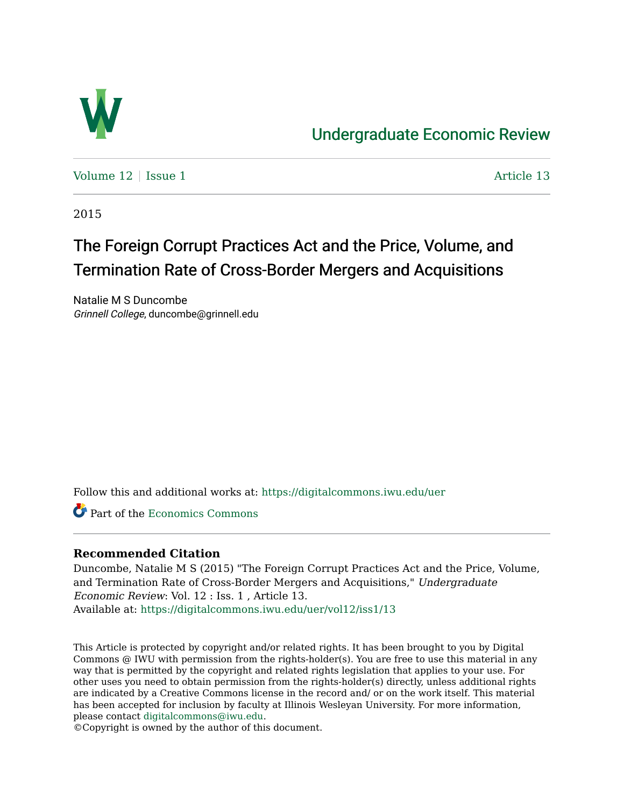

## [Undergraduate Economic Review](https://digitalcommons.iwu.edu/uer)

Volume  $12 \mid$  [Issue 1](https://digitalcommons.iwu.edu/uer/vol12/iss1)  $\blacksquare$ 

2015

# The Foreign Corrupt Practices Act and the Price, Volume, and Termination Rate of Cross-Border Mergers and Acquisitions

Natalie M S Duncombe Grinnell College, duncombe@grinnell.edu

Follow this and additional works at: [https://digitalcommons.iwu.edu/uer](https://digitalcommons.iwu.edu/uer?utm_source=digitalcommons.iwu.edu%2Fuer%2Fvol12%2Fiss1%2F13&utm_medium=PDF&utm_campaign=PDFCoverPages)

Part of the [Economics Commons](http://network.bepress.com/hgg/discipline/340?utm_source=digitalcommons.iwu.edu%2Fuer%2Fvol12%2Fiss1%2F13&utm_medium=PDF&utm_campaign=PDFCoverPages) 

## **Recommended Citation**

Duncombe, Natalie M S (2015) "The Foreign Corrupt Practices Act and the Price, Volume, and Termination Rate of Cross-Border Mergers and Acquisitions," Undergraduate Economic Review: Vol. 12 : Iss. 1 , Article 13. Available at: [https://digitalcommons.iwu.edu/uer/vol12/iss1/13](https://digitalcommons.iwu.edu/uer/vol12/iss1/13?utm_source=digitalcommons.iwu.edu%2Fuer%2Fvol12%2Fiss1%2F13&utm_medium=PDF&utm_campaign=PDFCoverPages) 

This Article is protected by copyright and/or related rights. It has been brought to you by Digital Commons @ IWU with permission from the rights-holder(s). You are free to use this material in any way that is permitted by the copyright and related rights legislation that applies to your use. For other uses you need to obtain permission from the rights-holder(s) directly, unless additional rights are indicated by a Creative Commons license in the record and/ or on the work itself. This material has been accepted for inclusion by faculty at Illinois Wesleyan University. For more information, please contact [digitalcommons@iwu.edu.](mailto:digitalcommons@iwu.edu)

©Copyright is owned by the author of this document.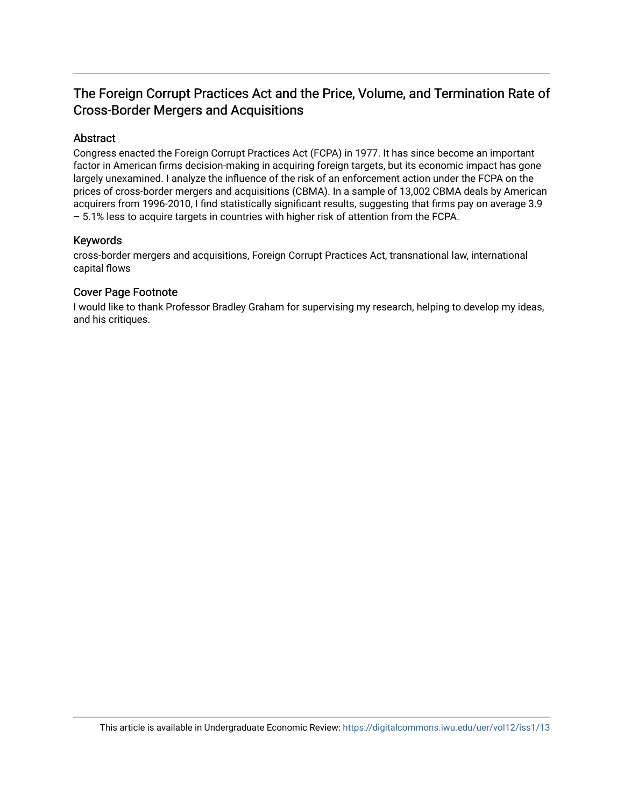## The Foreign Corrupt Practices Act and the Price, Volume, and Termination Rate of Cross-Border Mergers and Acquisitions

## Abstract

Congress enacted the Foreign Corrupt Practices Act (FCPA) in 1977. It has since become an important factor in American firms decision-making in acquiring foreign targets, but its economic impact has gone largely unexamined. I analyze the influence of the risk of an enforcement action under the FCPA on the prices of cross-border mergers and acquisitions (CBMA). In a sample of 13,002 CBMA deals by American acquirers from 1996-2010, I find statistically significant results, suggesting that firms pay on average 3.9 – 5.1% less to acquire targets in countries with higher risk of attention from the FCPA.

## Keywords

cross-border mergers and acquisitions, Foreign Corrupt Practices Act, transnational law, international capital flows

## Cover Page Footnote

I would like to thank Professor Bradley Graham for supervising my research, helping to develop my ideas, and his critiques.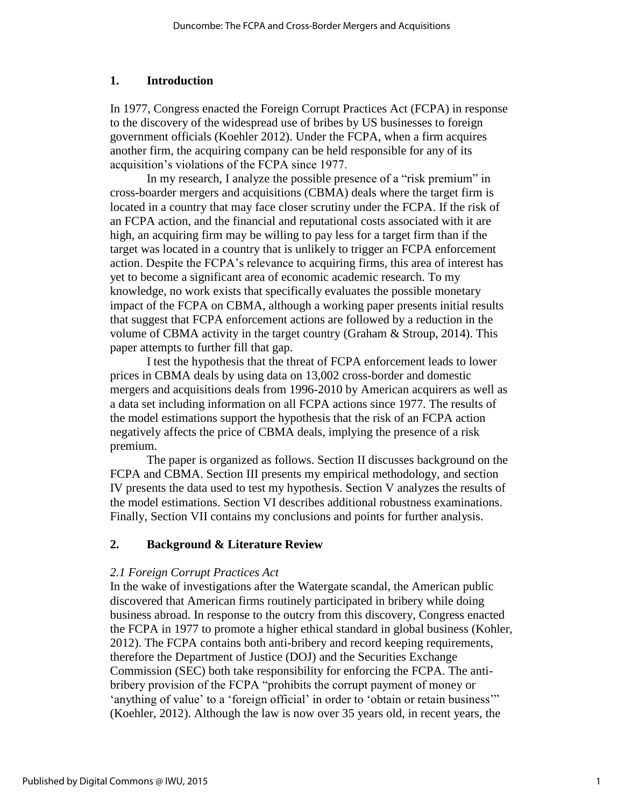## **1. Introduction**

In 1977, Congress enacted the Foreign Corrupt Practices Act (FCPA) in response to the discovery of the widespread use of bribes by US businesses to foreign government officials (Koehler 2012). Under the FCPA, when a firm acquires another firm, the acquiring company can be held responsible for any of its acquisition's violations of the FCPA since 1977.

In my research, I analyze the possible presence of a "risk premium" in cross-boarder mergers and acquisitions (CBMA) deals where the target firm is located in a country that may face closer scrutiny under the FCPA. If the risk of an FCPA action, and the financial and reputational costs associated with it are high, an acquiring firm may be willing to pay less for a target firm than if the target was located in a country that is unlikely to trigger an FCPA enforcement action. Despite the FCPA's relevance to acquiring firms, this area of interest has yet to become a significant area of economic academic research. To my knowledge, no work exists that specifically evaluates the possible monetary impact of the FCPA on CBMA, although a working paper presents initial results that suggest that FCPA enforcement actions are followed by a reduction in the volume of CBMA activity in the target country (Graham & Stroup, 2014). This paper attempts to further fill that gap.

I test the hypothesis that the threat of FCPA enforcement leads to lower prices in CBMA deals by using data on 13,002 cross-border and domestic mergers and acquisitions deals from 1996-2010 by American acquirers as well as a data set including information on all FCPA actions since 1977. The results of the model estimations support the hypothesis that the risk of an FCPA action negatively affects the price of CBMA deals, implying the presence of a risk premium.

The paper is organized as follows. Section II discusses background on the FCPA and CBMA. Section III presents my empirical methodology, and section IV presents the data used to test my hypothesis. Section V analyzes the results of the model estimations. Section VI describes additional robustness examinations. Finally, Section VII contains my conclusions and points for further analysis.

## **2. Background & Literature Review**

## *2.1 Foreign Corrupt Practices Act*

In the wake of investigations after the Watergate scandal, the American public discovered that American firms routinely participated in bribery while doing business abroad. In response to the outcry from this discovery, Congress enacted the FCPA in 1977 to promote a higher ethical standard in global business (Kohler, 2012). The FCPA contains both anti-bribery and record keeping requirements, therefore the Department of Justice (DOJ) and the Securities Exchange Commission (SEC) both take responsibility for enforcing the FCPA. The antibribery provision of the FCPA "prohibits the corrupt payment of money or 'anything of value' to a 'foreign official' in order to 'obtain or retain business'" (Koehler, 2012). Although the law is now over 35 years old, in recent years, the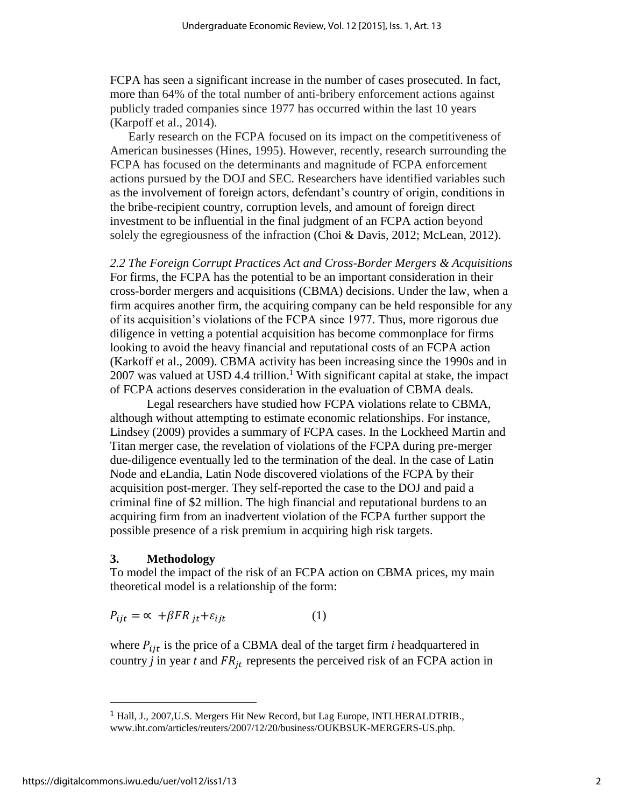FCPA has seen a significant increase in the number of cases prosecuted. In fact, more than 64% of the total number of anti-bribery enforcement actions against publicly traded companies since 1977 has occurred within the last 10 years (Karpoff et al., 2014).

Early research on the FCPA focused on its impact on the competitiveness of American businesses (Hines, 1995). However, recently, research surrounding the FCPA has focused on the determinants and magnitude of FCPA enforcement actions pursued by the DOJ and SEC. Researchers have identified variables such as the involvement of foreign actors, defendant's country of origin, conditions in the bribe-recipient country, corruption levels, and amount of foreign direct investment to be influential in the final judgment of an FCPA action beyond solely the egregiousness of the infraction (Choi & Davis, 2012; McLean, 2012).

*2.2 The Foreign Corrupt Practices Act and Cross-Border Mergers & Acquisitions* For firms, the FCPA has the potential to be an important consideration in their cross-border mergers and acquisitions (CBMA) decisions. Under the law, when a firm acquires another firm, the acquiring company can be held responsible for any of its acquisition's violations of the FCPA since 1977. Thus, more rigorous due diligence in vetting a potential acquisition has become commonplace for firms looking to avoid the heavy financial and reputational costs of an FCPA action (Karkoff et al., 2009). CBMA activity has been increasing since the 1990s and in 2007 was valued at USD 4.4 trillion. <sup>1</sup> With significant capital at stake, the impact of FCPA actions deserves consideration in the evaluation of CBMA deals.

Legal researchers have studied how FCPA violations relate to CBMA, although without attempting to estimate economic relationships. For instance, Lindsey (2009) provides a summary of FCPA cases. In the Lockheed Martin and Titan merger case, the revelation of violations of the FCPA during pre-merger due-diligence eventually led to the termination of the deal. In the case of Latin Node and eLandia, Latin Node discovered violations of the FCPA by their acquisition post-merger. They self-reported the case to the DOJ and paid a criminal fine of \$2 million. The high financial and reputational burdens to an acquiring firm from an inadvertent violation of the FCPA further support the possible presence of a risk premium in acquiring high risk targets.

#### **3. Methodology**

To model the impact of the risk of an FCPA action on CBMA prices, my main theoretical model is a relationship of the form:

$$
P_{ijt} = \alpha + \beta FR_{jt} + \varepsilon_{ijt}
$$
 (1)

where  $P_{i,jt}$  is the price of a CBMA deal of the target firm *i* headquartered in country *j* in year *t* and  $FR_{it}$  represents the perceived risk of an FCPA action in

 $\overline{a}$ 

<sup>&</sup>lt;sup>1</sup> Hall, J., 2007, U.S. Mergers Hit New Record, but Lag Europe, INTLHERALDTRIB., www.iht.com/articles/reuters/2007/12/20/business/OUKBSUK-MERGERS-US.php.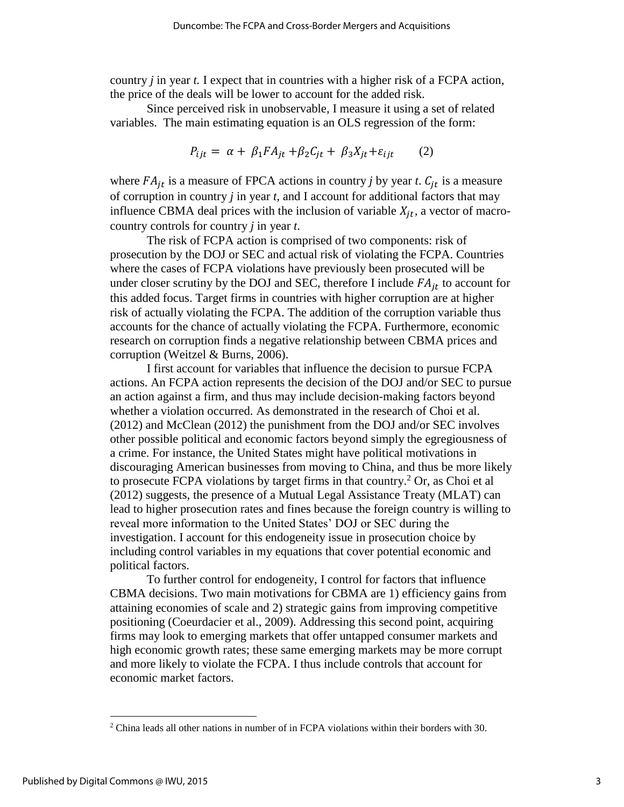country *j* in year *t.* I expect that in countries with a higher risk of a FCPA action, the price of the deals will be lower to account for the added risk.

Since perceived risk in unobservable, I measure it using a set of related variables. The main estimating equation is an OLS regression of the form:

$$
P_{ijt} = \alpha + \beta_1 F A_{jt} + \beta_2 C_{jt} + \beta_3 X_{jt} + \varepsilon_{ijt} \tag{2}
$$

where  $FA_{it}$  is a measure of FPCA actions in country *j* by year *t*.  $C_{it}$  is a measure of corruption in country *j* in year *t,* and I account for additional factors that may influence CBMA deal prices with the inclusion of variable  $X_{it}$ , a vector of macrocountry controls for country *j* in year *t*.

The risk of FCPA action is comprised of two components: risk of prosecution by the DOJ or SEC and actual risk of violating the FCPA. Countries where the cases of FCPA violations have previously been prosecuted will be under closer scrutiny by the DOJ and SEC, therefore I include  $FA_{jt}$  to account for this added focus. Target firms in countries with higher corruption are at higher risk of actually violating the FCPA. The addition of the corruption variable thus accounts for the chance of actually violating the FCPA. Furthermore, economic research on corruption finds a negative relationship between CBMA prices and corruption (Weitzel & Burns, 2006).

I first account for variables that influence the decision to pursue FCPA actions. An FCPA action represents the decision of the DOJ and/or SEC to pursue an action against a firm, and thus may include decision-making factors beyond whether a violation occurred. As demonstrated in the research of Choi et al. (2012) and McClean (2012) the punishment from the DOJ and/or SEC involves other possible political and economic factors beyond simply the egregiousness of a crime. For instance, the United States might have political motivations in discouraging American businesses from moving to China, and thus be more likely to prosecute FCPA violations by target firms in that country.<sup>2</sup> Or, as Choi et al (2012) suggests, the presence of a Mutual Legal Assistance Treaty (MLAT) can lead to higher prosecution rates and fines because the foreign country is willing to reveal more information to the United States' DOJ or SEC during the investigation. I account for this endogeneity issue in prosecution choice by including control variables in my equations that cover potential economic and political factors.

To further control for endogeneity, I control for factors that influence CBMA decisions. Two main motivations for CBMA are 1) efficiency gains from attaining economies of scale and 2) strategic gains from improving competitive positioning (Coeurdacier et al., 2009). Addressing this second point, acquiring firms may look to emerging markets that offer untapped consumer markets and high economic growth rates; these same emerging markets may be more corrupt and more likely to violate the FCPA. I thus include controls that account for economic market factors.

 $\overline{a}$ 

<sup>2</sup> China leads all other nations in number of in FCPA violations within their borders with 30.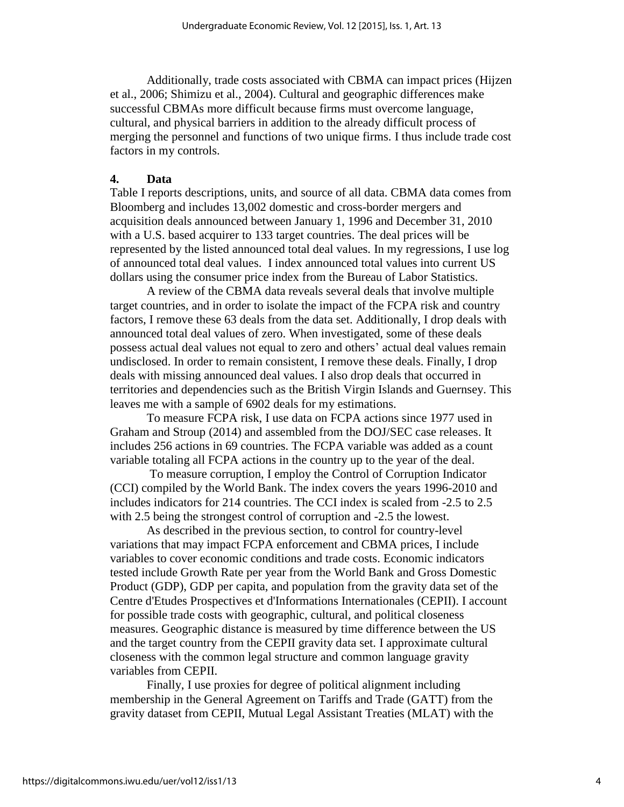Additionally, trade costs associated with CBMA can impact prices (Hijzen et al., 2006; Shimizu et al., 2004). Cultural and geographic differences make successful CBMAs more difficult because firms must overcome language, cultural, and physical barriers in addition to the already difficult process of merging the personnel and functions of two unique firms. I thus include trade cost factors in my controls.

## **4. Data**

Table I reports descriptions, units, and source of all data. CBMA data comes from Bloomberg and includes 13,002 domestic and cross-border mergers and acquisition deals announced between January 1, 1996 and December 31, 2010 with a U.S. based acquirer to 133 target countries. The deal prices will be represented by the listed announced total deal values. In my regressions, I use log of announced total deal values. I index announced total values into current US dollars using the consumer price index from the Bureau of Labor Statistics.

A review of the CBMA data reveals several deals that involve multiple target countries, and in order to isolate the impact of the FCPA risk and country factors, I remove these 63 deals from the data set. Additionally, I drop deals with announced total deal values of zero. When investigated, some of these deals possess actual deal values not equal to zero and others' actual deal values remain undisclosed. In order to remain consistent, I remove these deals. Finally, I drop deals with missing announced deal values. I also drop deals that occurred in territories and dependencies such as the British Virgin Islands and Guernsey. This leaves me with a sample of 6902 deals for my estimations.

To measure FCPA risk, I use data on FCPA actions since 1977 used in Graham and Stroup (2014) and assembled from the DOJ/SEC case releases. It includes 256 actions in 69 countries. The FCPA variable was added as a count variable totaling all FCPA actions in the country up to the year of the deal.

To measure corruption, I employ the Control of Corruption Indicator (CCI) compiled by the World Bank. The index covers the years 1996-2010 and includes indicators for 214 countries. The CCI index is scaled from -2.5 to 2.5 with 2.5 being the strongest control of corruption and -2.5 the lowest.

As described in the previous section, to control for country-level variations that may impact FCPA enforcement and CBMA prices, I include variables to cover economic conditions and trade costs. Economic indicators tested include Growth Rate per year from the World Bank and Gross Domestic Product (GDP), GDP per capita, and population from the gravity data set of the Centre d'Etudes Prospectives et d'Informations Internationales (CEPII). I account for possible trade costs with geographic, cultural, and political closeness measures. Geographic distance is measured by time difference between the US and the target country from the CEPII gravity data set. I approximate cultural closeness with the common legal structure and common language gravity variables from CEPII.

Finally, I use proxies for degree of political alignment including membership in the General Agreement on Tariffs and Trade (GATT) from the gravity dataset from CEPII, Mutual Legal Assistant Treaties (MLAT) with the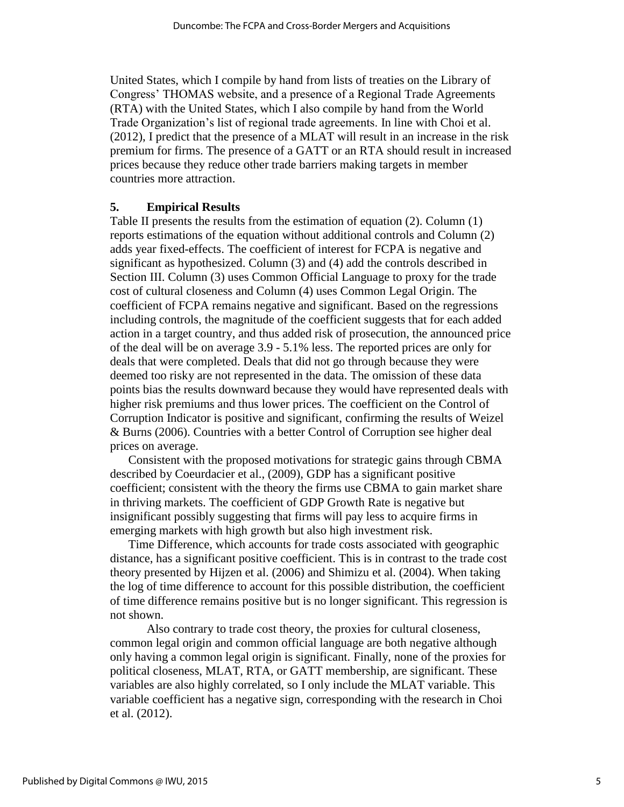United States, which I compile by hand from lists of treaties on the Library of Congress' THOMAS website, and a presence of a Regional Trade Agreements (RTA) with the United States, which I also compile by hand from the World Trade Organization's list of regional trade agreements. In line with Choi et al. (2012), I predict that the presence of a MLAT will result in an increase in the risk premium for firms. The presence of a GATT or an RTA should result in increased prices because they reduce other trade barriers making targets in member countries more attraction.

#### **5. Empirical Results**

Table II presents the results from the estimation of equation (2). Column (1) reports estimations of the equation without additional controls and Column (2) adds year fixed-effects. The coefficient of interest for FCPA is negative and significant as hypothesized. Column (3) and (4) add the controls described in Section III. Column (3) uses Common Official Language to proxy for the trade cost of cultural closeness and Column (4) uses Common Legal Origin. The coefficient of FCPA remains negative and significant. Based on the regressions including controls, the magnitude of the coefficient suggests that for each added action in a target country, and thus added risk of prosecution, the announced price of the deal will be on average 3.9 - 5.1% less. The reported prices are only for deals that were completed. Deals that did not go through because they were deemed too risky are not represented in the data. The omission of these data points bias the results downward because they would have represented deals with higher risk premiums and thus lower prices. The coefficient on the Control of Corruption Indicator is positive and significant, confirming the results of Weizel & Burns (2006). Countries with a better Control of Corruption see higher deal prices on average.

Consistent with the proposed motivations for strategic gains through CBMA described by Coeurdacier et al., (2009), GDP has a significant positive coefficient; consistent with the theory the firms use CBMA to gain market share in thriving markets. The coefficient of GDP Growth Rate is negative but insignificant possibly suggesting that firms will pay less to acquire firms in emerging markets with high growth but also high investment risk.

Time Difference, which accounts for trade costs associated with geographic distance, has a significant positive coefficient. This is in contrast to the trade cost theory presented by Hijzen et al. (2006) and Shimizu et al. (2004). When taking the log of time difference to account for this possible distribution, the coefficient of time difference remains positive but is no longer significant. This regression is not shown.

Also contrary to trade cost theory, the proxies for cultural closeness, common legal origin and common official language are both negative although only having a common legal origin is significant. Finally, none of the proxies for political closeness, MLAT, RTA, or GATT membership, are significant. These variables are also highly correlated, so I only include the MLAT variable. This variable coefficient has a negative sign, corresponding with the research in Choi et al. (2012).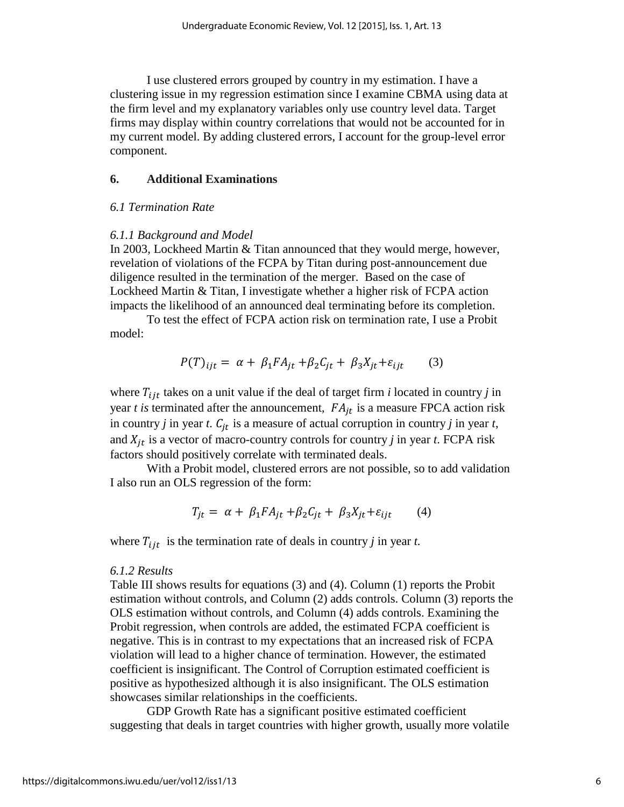I use clustered errors grouped by country in my estimation. I have a clustering issue in my regression estimation since I examine CBMA using data at the firm level and my explanatory variables only use country level data. Target firms may display within country correlations that would not be accounted for in my current model. By adding clustered errors, I account for the group-level error component.

#### **6. Additional Examinations**

## *6.1 Termination Rate*

#### *6.1.1 Background and Model*

In 2003, Lockheed Martin & Titan announced that they would merge, however, revelation of violations of the FCPA by Titan during post-announcement due diligence resulted in the termination of the merger. Based on the case of Lockheed Martin & Titan, I investigate whether a higher risk of FCPA action impacts the likelihood of an announced deal terminating before its completion.

To test the effect of FCPA action risk on termination rate, I use a Probit model:

$$
P(T)_{ijt} = \alpha + \beta_1 F A_{jt} + \beta_2 C_{jt} + \beta_3 X_{jt} + \varepsilon_{ijt} \tag{3}
$$

where  $T_{ijt}$  takes on a unit value if the deal of target firm *i* located in country *j* in year  $t$  is terminated after the announcement,  $FA_{jt}$  is a measure FPCA action risk in country *j* in year *t*.  $C_{jt}$  is a measure of actual corruption in country *j* in year *t*, and  $X_{it}$  is a vector of macro-country controls for country *j* in year *t*. FCPA risk factors should positively correlate with terminated deals.

With a Probit model, clustered errors are not possible, so to add validation I also run an OLS regression of the form:

$$
T_{jt} = \alpha + \beta_1 F A_{jt} + \beta_2 C_{jt} + \beta_3 X_{jt} + \varepsilon_{ijt} \tag{4}
$$

where  $T_{ijt}$  is the termination rate of deals in country *j* in year *t*.

#### *6.1.2 Results*

Table III shows results for equations (3) and (4). Column (1) reports the Probit estimation without controls, and Column (2) adds controls. Column (3) reports the OLS estimation without controls, and Column (4) adds controls. Examining the Probit regression, when controls are added, the estimated FCPA coefficient is negative. This is in contrast to my expectations that an increased risk of FCPA violation will lead to a higher chance of termination. However, the estimated coefficient is insignificant. The Control of Corruption estimated coefficient is positive as hypothesized although it is also insignificant. The OLS estimation showcases similar relationships in the coefficients.

GDP Growth Rate has a significant positive estimated coefficient suggesting that deals in target countries with higher growth, usually more volatile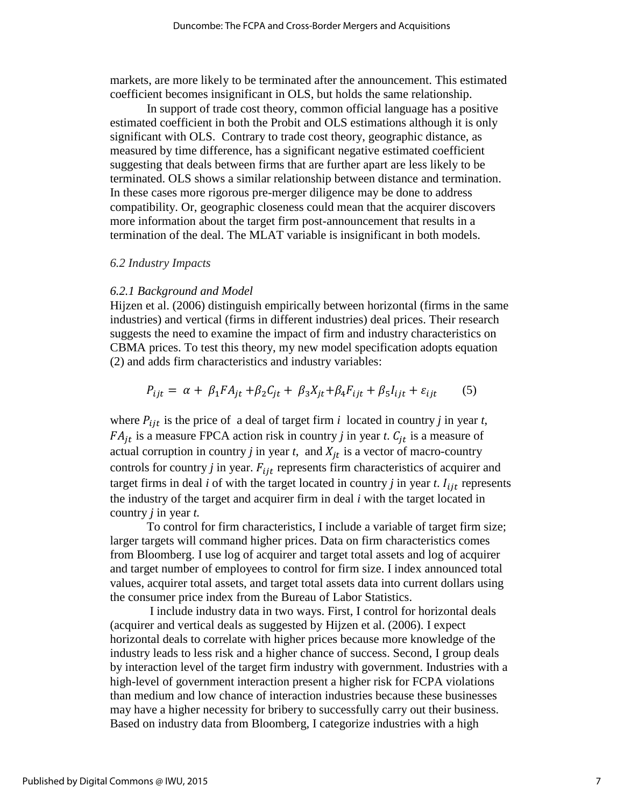markets, are more likely to be terminated after the announcement. This estimated coefficient becomes insignificant in OLS, but holds the same relationship.

In support of trade cost theory, common official language has a positive estimated coefficient in both the Probit and OLS estimations although it is only significant with OLS. Contrary to trade cost theory, geographic distance, as measured by time difference, has a significant negative estimated coefficient suggesting that deals between firms that are further apart are less likely to be terminated. OLS shows a similar relationship between distance and termination. In these cases more rigorous pre-merger diligence may be done to address compatibility. Or, geographic closeness could mean that the acquirer discovers more information about the target firm post-announcement that results in a termination of the deal. The MLAT variable is insignificant in both models.

#### *6.2 Industry Impacts*

#### *6.2.1 Background and Model*

Hijzen et al. (2006) distinguish empirically between horizontal (firms in the same industries) and vertical (firms in different industries) deal prices. Their research suggests the need to examine the impact of firm and industry characteristics on CBMA prices. To test this theory, my new model specification adopts equation (2) and adds firm characteristics and industry variables:

$$
P_{ijt} = \alpha + \beta_1 FA_{jt} + \beta_2 C_{jt} + \beta_3 X_{jt} + \beta_4 F_{ijt} + \beta_5 I_{ijt} + \varepsilon_{ijt} \tag{5}
$$

where  $P_{ijt}$  is the price of a deal of target firm *i* located in country *j* in year *t*,  $FA_{jt}$  is a measure FPCA action risk in country *j* in year *t*.  $C_{jt}$  is a measure of actual corruption in country  $j$  in year  $t$ , and  $X_{it}$  is a vector of macro-country controls for country  $j$  in year.  $F_{ijt}$  represents firm characteristics of acquirer and target firms in deal *i* of with the target located in country *j* in year *t*.  $I_{ijt}$  represents the industry of the target and acquirer firm in deal *i* with the target located in country *j* in year *t.* 

To control for firm characteristics, I include a variable of target firm size; larger targets will command higher prices. Data on firm characteristics comes from Bloomberg. I use log of acquirer and target total assets and log of acquirer and target number of employees to control for firm size. I index announced total values, acquirer total assets, and target total assets data into current dollars using the consumer price index from the Bureau of Labor Statistics.

I include industry data in two ways. First, I control for horizontal deals (acquirer and vertical deals as suggested by Hijzen et al. (2006). I expect horizontal deals to correlate with higher prices because more knowledge of the industry leads to less risk and a higher chance of success. Second, I group deals by interaction level of the target firm industry with government. Industries with a high-level of government interaction present a higher risk for FCPA violations than medium and low chance of interaction industries because these businesses may have a higher necessity for bribery to successfully carry out their business. Based on industry data from Bloomberg, I categorize industries with a high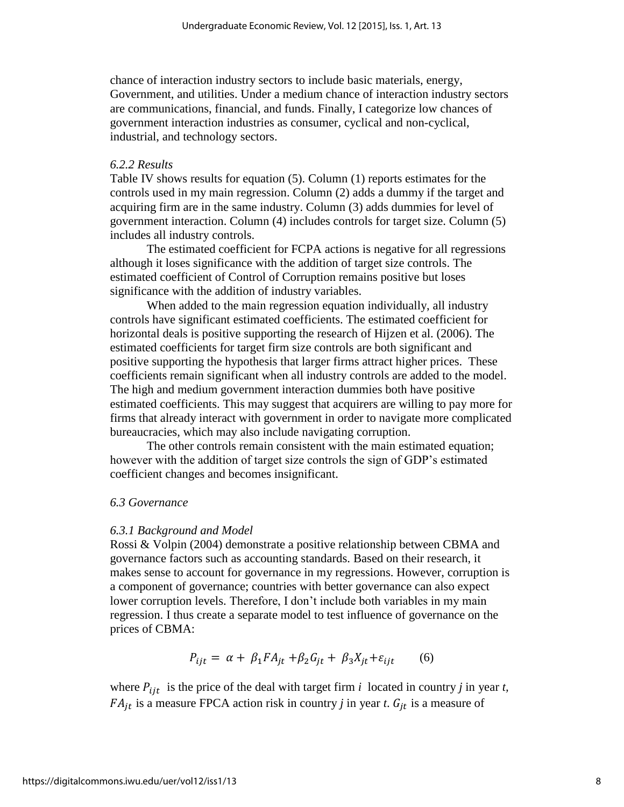chance of interaction industry sectors to include basic materials, energy, Government, and utilities. Under a medium chance of interaction industry sectors are communications, financial, and funds. Finally, I categorize low chances of government interaction industries as consumer, cyclical and non-cyclical, industrial, and technology sectors.

#### *6.2.2 Results*

Table IV shows results for equation (5). Column (1) reports estimates for the controls used in my main regression. Column (2) adds a dummy if the target and acquiring firm are in the same industry. Column (3) adds dummies for level of government interaction. Column (4) includes controls for target size. Column (5) includes all industry controls.

The estimated coefficient for FCPA actions is negative for all regressions although it loses significance with the addition of target size controls. The estimated coefficient of Control of Corruption remains positive but loses significance with the addition of industry variables.

When added to the main regression equation individually, all industry controls have significant estimated coefficients. The estimated coefficient for horizontal deals is positive supporting the research of Hijzen et al. (2006). The estimated coefficients for target firm size controls are both significant and positive supporting the hypothesis that larger firms attract higher prices. These coefficients remain significant when all industry controls are added to the model. The high and medium government interaction dummies both have positive estimated coefficients. This may suggest that acquirers are willing to pay more for firms that already interact with government in order to navigate more complicated bureaucracies, which may also include navigating corruption.

The other controls remain consistent with the main estimated equation; however with the addition of target size controls the sign of GDP's estimated coefficient changes and becomes insignificant.

#### *6.3 Governance*

#### *6.3.1 Background and Model*

Rossi & Volpin (2004) demonstrate a positive relationship between CBMA and governance factors such as accounting standards. Based on their research, it makes sense to account for governance in my regressions. However, corruption is a component of governance; countries with better governance can also expect lower corruption levels. Therefore, I don't include both variables in my main regression. I thus create a separate model to test influence of governance on the prices of CBMA:

$$
P_{ijt} = \alpha + \beta_1 F A_{jt} + \beta_2 G_{jt} + \beta_3 X_{jt} + \varepsilon_{ijt} \tag{6}
$$

where  $P_{ijt}$  is the price of the deal with target firm *i* located in country *j* in year *t*,  $FA_{it}$  is a measure FPCA action risk in country *j* in year *t*.  $G_{it}$  is a measure of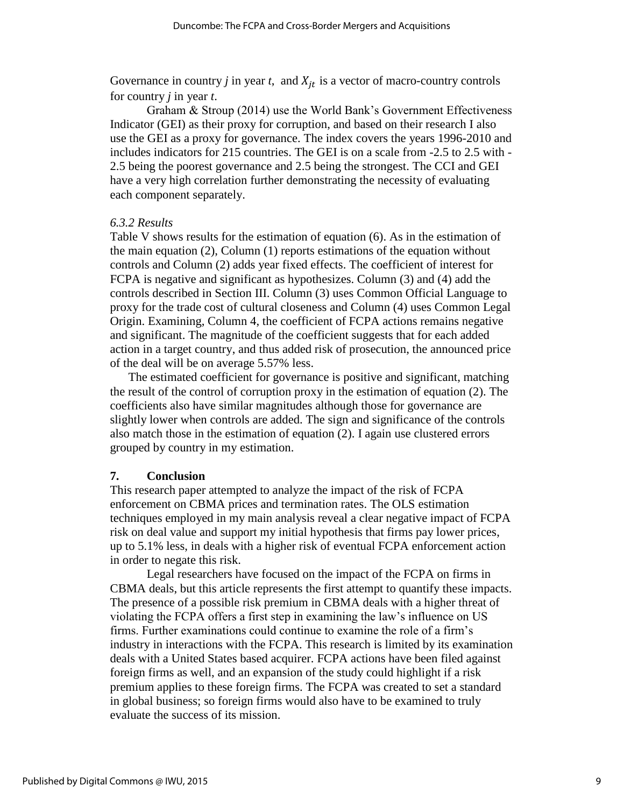Governance in country *j* in year *t*, and  $X_{it}$  is a vector of macro-country controls for country *j* in year *t*.

Graham & Stroup (2014) use the World Bank's Government Effectiveness Indicator (GEI) as their proxy for corruption, and based on their research I also use the GEI as a proxy for governance. The index covers the years 1996-2010 and includes indicators for 215 countries. The GEI is on a scale from -2.5 to 2.5 with - 2.5 being the poorest governance and 2.5 being the strongest. The CCI and GEI have a very high correlation further demonstrating the necessity of evaluating each component separately.

#### *6.3.2 Results*

Table V shows results for the estimation of equation (6). As in the estimation of the main equation (2), Column (1) reports estimations of the equation without controls and Column (2) adds year fixed effects. The coefficient of interest for FCPA is negative and significant as hypothesizes. Column (3) and (4) add the controls described in Section III. Column (3) uses Common Official Language to proxy for the trade cost of cultural closeness and Column (4) uses Common Legal Origin. Examining, Column 4, the coefficient of FCPA actions remains negative and significant. The magnitude of the coefficient suggests that for each added action in a target country, and thus added risk of prosecution, the announced price of the deal will be on average 5.57% less.

The estimated coefficient for governance is positive and significant, matching the result of the control of corruption proxy in the estimation of equation (2). The coefficients also have similar magnitudes although those for governance are slightly lower when controls are added. The sign and significance of the controls also match those in the estimation of equation (2). I again use clustered errors grouped by country in my estimation.

#### **7. Conclusion**

This research paper attempted to analyze the impact of the risk of FCPA enforcement on CBMA prices and termination rates. The OLS estimation techniques employed in my main analysis reveal a clear negative impact of FCPA risk on deal value and support my initial hypothesis that firms pay lower prices, up to 5.1% less, in deals with a higher risk of eventual FCPA enforcement action in order to negate this risk.

Legal researchers have focused on the impact of the FCPA on firms in CBMA deals, but this article represents the first attempt to quantify these impacts. The presence of a possible risk premium in CBMA deals with a higher threat of violating the FCPA offers a first step in examining the law's influence on US firms. Further examinations could continue to examine the role of a firm's industry in interactions with the FCPA. This research is limited by its examination deals with a United States based acquirer. FCPA actions have been filed against foreign firms as well, and an expansion of the study could highlight if a risk premium applies to these foreign firms. The FCPA was created to set a standard in global business; so foreign firms would also have to be examined to truly evaluate the success of its mission.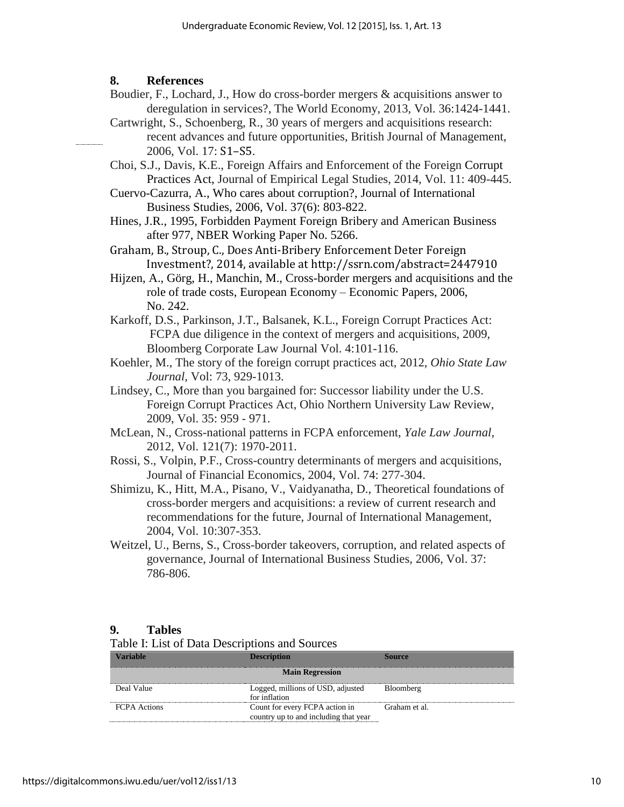## **8. References**

- Boudier, F., Lochard, J., How do cross-border mergers & acquisitions answer to deregulation in services?, The World Economy, 2013, Vol. 36:1424-1441.
- Cartwright, S., Schoenberg, R., 30 years of mergers and acquisitions research: recent advances and future opportunities, British Journal of Management, 2006, Vol. 17: S1–S5.
- Choi, S.J., Davis, K.E., Foreign Affairs and Enforcement of the Foreign Corrupt Practices Act, Journal of Empirical Legal Studies, 2014, Vol. 11: 409-445.
- Cuervo-Cazurra, A., Who cares about corruption?, Journal of International Business Studies, 2006, Vol. 37(6): 803-822.
- Hines, J.R., 1995, Forbidden Payment Foreign Bribery and American Business after 977, NBER Working Paper No. 5266.
- Graham, B., Stroup, C., Does Anti-Bribery Enforcement Deter Foreign Investment?, 2014, available at http://ssrn.com/abstract=2447910
- Hijzen, A., Görg, H., Manchin, M., Cross-border mergers and acquisitions and the role of trade costs, European Economy – Economic Papers, 2006, No. 242.
- Karkoff, D.S., Parkinson, J.T., Balsanek, K.L., Foreign Corrupt Practices Act: FCPA due diligence in the context of mergers and acquisitions, 2009, Bloomberg Corporate Law Journal Vol. 4:101-116.
- Koehler, M., The story of the foreign corrupt practices act, 2012, *Ohio State Law Journal,* Vol: 73, 929-1013.
- Lindsey, C., More than you bargained for: Successor liability under the U.S. Foreign Corrupt Practices Act, Ohio Northern University Law Review, 2009, Vol. 35: 959 - 971.
- McLean, N., Cross-national patterns in FCPA enforcement, *Yale Law Journal*, 2012, Vol. 121(7): 1970-2011.
- Rossi, S., Volpin, P.F., Cross-country determinants of mergers and acquisitions, Journal of Financial Economics, 2004, Vol. 74: 277-304.
- Shimizu, K., Hitt, M.A., Pisano, V., Vaidyanatha, D., Theoretical foundations of cross-border mergers and acquisitions: a review of current research and recommendations for the future, Journal of International Management, 2004, Vol. 10:307-353.
- Weitzel, U., Berns, S., Cross-border takeovers, corruption, and related aspects of governance, Journal of International Business Studies, 2006, Vol. 37: 786-806.

#### **9. Tables**

#### Table I: List of Data Descriptions and Sources

| Variable<br>Description |                                                                         | ource         |  |  |
|-------------------------|-------------------------------------------------------------------------|---------------|--|--|
| <b>Main Regression</b>  |                                                                         |               |  |  |
| Deal Value              | Logged, millions of USD, adjusted<br>for inflation                      | Bloomberg     |  |  |
| <b>FCPA</b> Actions     | Count for every FCPA action in<br>country up to and including that year | Graham et al. |  |  |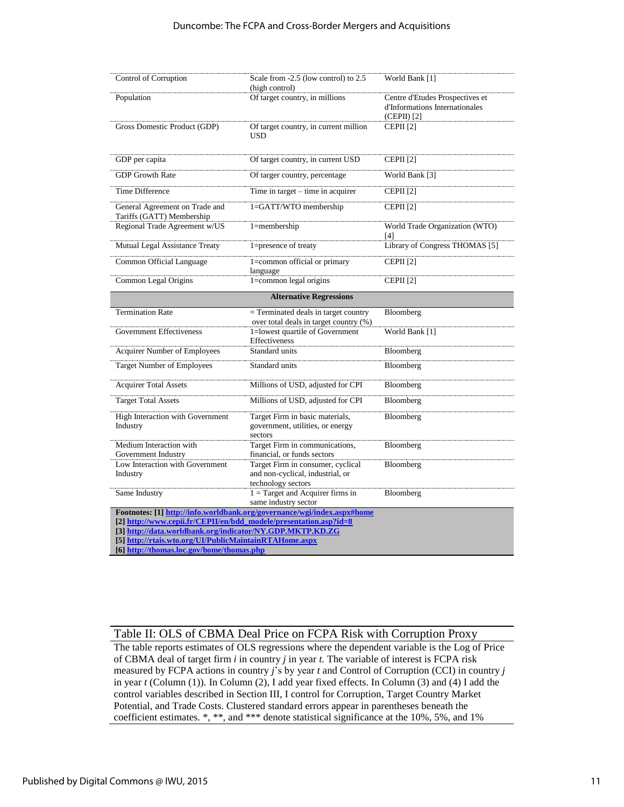| Control of Corruption                                                                               | Scale from -2.5 (low control) to 2.5<br>(high control)                                      | World Bank [1]                                                                   |
|-----------------------------------------------------------------------------------------------------|---------------------------------------------------------------------------------------------|----------------------------------------------------------------------------------|
| Population                                                                                          | Of target country, in millions                                                              | Centre d'Etudes Prospectives et<br>d'Informations Internationales<br>(CEPII) [2] |
| Gross Domestic Product (GDP)                                                                        | Of target country, in current million<br>USD                                                | CEPII <sup>[2]</sup>                                                             |
| GDP per capita                                                                                      | Of target country, in current USD                                                           | CEPII <sup>[2]</sup>                                                             |
| <b>GDP</b> Growth Rate                                                                              | Of targer country, percentage                                                               | World Bank [3]                                                                   |
| <b>Time Difference</b>                                                                              | Time in $target - time$ in acquirer                                                         | CEPII <sup>[2]</sup>                                                             |
| General Agreement on Trade and<br>Tariffs (GATT) Membership                                         | 1=GATT/WTO membership                                                                       | CEPII <sup>[2]</sup>                                                             |
| Regional Trade Agreement w/US                                                                       | $1$ =membership                                                                             | World Trade Organization (WTO)<br>[4]                                            |
| Mutual Legal Assistance Treaty                                                                      | 1=presence of treaty                                                                        | Library of Congress THOMAS [5]                                                   |
| Common Official Language                                                                            | 1=common official or primary<br>language                                                    | CEPII <sup>[2]</sup>                                                             |
| Common Legal Origins                                                                                | $1 = common$ legal origins                                                                  | CEPII <sup>[2]</sup>                                                             |
|                                                                                                     | <b>Alternative Regressions</b>                                                              |                                                                                  |
| <b>Termination Rate</b>                                                                             | $=$ Terminated deals in target country<br>over total deals in target country (%)            | Bloomberg                                                                        |
| <b>Government Effectiveness</b>                                                                     | 1=lowest quartile of Government<br>Effectiveness                                            | World Bank [1]                                                                   |
| <b>Acquirer Number of Employees</b>                                                                 | Standard units                                                                              | Bloomberg                                                                        |
| Target Number of Employees                                                                          | Standard units                                                                              | Bloomberg                                                                        |
| <b>Acquirer Total Assets</b>                                                                        | Millions of USD, adjusted for CPI                                                           | Bloomberg                                                                        |
| <b>Target Total Assets</b>                                                                          | Millions of USD, adjusted for CPI                                                           | Bloomberg                                                                        |
| High Interaction with Government<br>Industry                                                        | Target Firm in basic materials,<br>government, utilities, or energy<br>sectors              | Bloomberg                                                                        |
| Medium Interaction with<br>Government Industry                                                      | Target Firm in communications,<br>financial, or funds sectors                               | Bloomberg                                                                        |
| Low Interaction with Government<br>Industry                                                         | Target Firm in consumer, cyclical<br>and non-cyclical, industrial, or<br>technology sectors | Bloomberg                                                                        |
| Same Industry                                                                                       | $1 = Target$ and Acquirer firms in<br>same industry sector                                  | Bloomberg                                                                        |
|                                                                                                     | Footnotes: [1] http://info.worldbank.org/governance/wgi/index.aspx#home                     |                                                                                  |
| [2] http://www.cepii.fr/CEPII/en/bdd_modele/presentation.asp?id=8                                   |                                                                                             |                                                                                  |
| [3] http://data.worldbank.org/indicator/NY.GDP.MKTP.KD.ZG                                           |                                                                                             |                                                                                  |
| [5] http://rtais.wto.org/UI/PublicMaintainRTAHome.aspx<br>[6] http://thomas.loc.gov/home/thomas.php |                                                                                             |                                                                                  |

## Table II: OLS of CBMA Deal Price on FCPA Risk with Corruption Proxy

The table reports estimates of OLS regressions where the dependent variable is the Log of Price of CBMA deal of target firm *i* in country *j* in year *t.* The variable of interest is FCPA risk measured by FCPA actions in country *j*'s by year *t* and Control of Corruption (CCI) in country *j* in year *t* (Column (1))*.* In Column (2), I add year fixed effects. In Column (3) and (4) I add the control variables described in Section III, I control for Corruption, Target Country Market Potential, and Trade Costs. Clustered standard errors appear in parentheses beneath the coefficient estimates. \*, \*\*, and \*\*\* denote statistical significance at the 10%, 5%, and 1%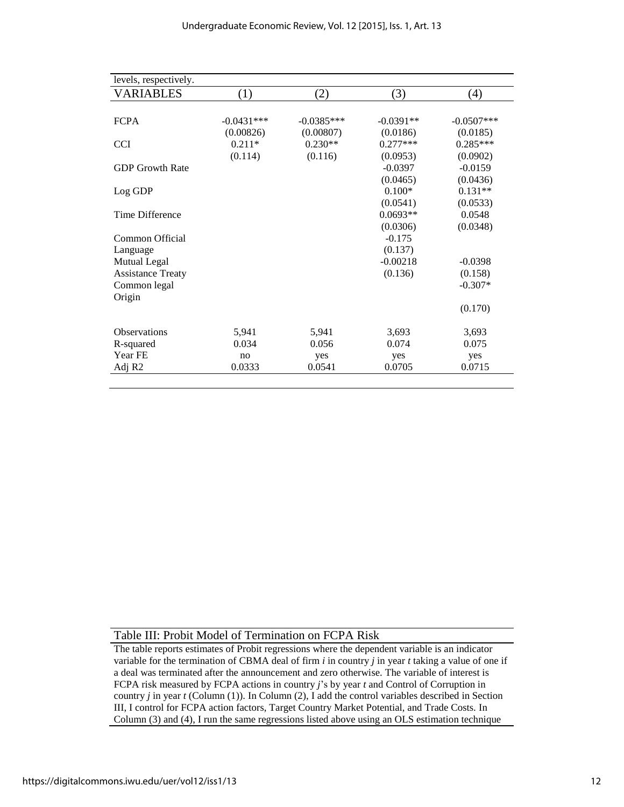| levels, respectively.    |              |              |             |                   |
|--------------------------|--------------|--------------|-------------|-------------------|
| <b>VARIABLES</b>         | (1)          | (2)          | (3)         | $\left( 4\right)$ |
|                          |              |              |             |                   |
| <b>FCPA</b>              | $-0.0431***$ | $-0.0385***$ | $-0.0391**$ | $-0.0507***$      |
|                          | (0.00826)    | (0.00807)    | (0.0186)    | (0.0185)          |
| <b>CCI</b>               | $0.211*$     | $0.230**$    | $0.277***$  | $0.285***$        |
|                          | (0.114)      | (0.116)      | (0.0953)    | (0.0902)          |
| <b>GDP Growth Rate</b>   |              |              | $-0.0397$   | $-0.0159$         |
|                          |              |              | (0.0465)    | (0.0436)          |
| Log GDP                  |              |              | $0.100*$    | $0.131**$         |
|                          |              |              | (0.0541)    | (0.0533)          |
| Time Difference          |              |              | $0.0693**$  | 0.0548            |
|                          |              |              | (0.0306)    | (0.0348)          |
| Common Official          |              |              | $-0.175$    |                   |
| Language                 |              |              | (0.137)     |                   |
| Mutual Legal             |              |              | $-0.00218$  | $-0.0398$         |
| <b>Assistance Treaty</b> |              |              | (0.136)     | (0.158)           |
| Common legal             |              |              |             | $-0.307*$         |
| Origin                   |              |              |             |                   |
|                          |              |              |             | (0.170)           |
| <b>Observations</b>      | 5,941        | 5,941        | 3,693       | 3,693             |
| R-squared                | 0.034        | 0.056        | 0.074       | 0.075             |
| Year FE                  | no           | yes          | yes         | yes               |
| Adj R <sub>2</sub>       | 0.0333       | 0.0541       | 0.0705      | 0.0715            |
|                          |              |              |             |                   |

Table III: Probit Model of Termination on FCPA Risk

The table reports estimates of Probit regressions where the dependent variable is an indicator variable for the termination of CBMA deal of firm *i* in country *j* in year *t* taking a value of one if a deal was terminated after the announcement and zero otherwise. The variable of interest is FCPA risk measured by FCPA actions in country *j*'s by year *t* and Control of Corruption in country *j* in year *t* (Column (1)). In Column (2), I add the control variables described in Section III, I control for FCPA action factors, Target Country Market Potential, and Trade Costs. In Column (3) and (4), I run the same regressions listed above using an OLS estimation technique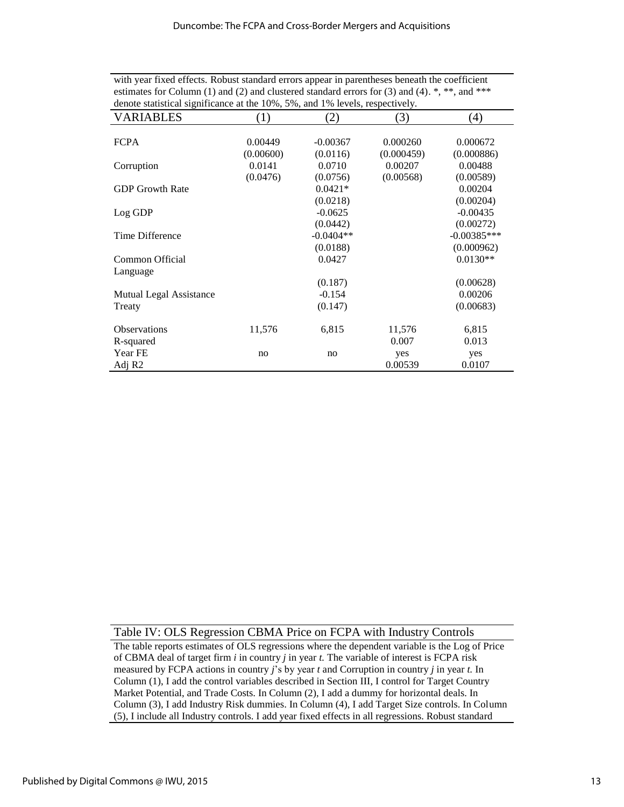| with year fixed effects. Robust standard errors appear in parentheses beneath the coefficient                            |
|--------------------------------------------------------------------------------------------------------------------------|
| estimates for Column (1) and (2) and clustered standard errors for (3) and (4). $\ast$ , $\ast\ast$ , and $\ast\ast\ast$ |
| denote statistical significance at the 10%, 5%, and 1% levels, respectively.                                             |

| VARIABLES               | (1)       | (2)         | (3)        | (4)           |
|-------------------------|-----------|-------------|------------|---------------|
|                         |           |             |            |               |
| <b>FCPA</b>             | 0.00449   | $-0.00367$  | 0.000260   | 0.000672      |
|                         | (0.00600) | (0.0116)    | (0.000459) | (0.000886)    |
| Corruption              | 0.0141    | 0.0710      | 0.00207    | 0.00488       |
|                         | (0.0476)  | (0.0756)    | (0.00568)  | (0.00589)     |
| <b>GDP</b> Growth Rate  |           | $0.0421*$   |            | 0.00204       |
|                         |           | (0.0218)    |            | (0.00204)     |
| Log GDP                 |           | $-0.0625$   |            | $-0.00435$    |
|                         |           | (0.0442)    |            | (0.00272)     |
| Time Difference         |           | $-0.0404**$ |            | $-0.00385***$ |
|                         |           | (0.0188)    |            | (0.000962)    |
| Common Official         |           | 0.0427      |            | $0.0130**$    |
| Language                |           |             |            |               |
|                         |           | (0.187)     |            | (0.00628)     |
| Mutual Legal Assistance |           | $-0.154$    |            | 0.00206       |
| Treaty                  |           | (0.147)     |            | (0.00683)     |
| <b>Observations</b>     | 11,576    | 6,815       | 11,576     | 6,815         |
| R-squared               |           |             | 0.007      | 0.013         |
| Year FE                 | no        | no          | yes        | yes           |
| Adj R <sub>2</sub>      |           |             | 0.00539    | 0.0107        |

Table IV: OLS Regression CBMA Price on FCPA with Industry Controls

The table reports estimates of OLS regressions where the dependent variable is the Log of Price of CBMA deal of target firm *i* in country *j* in year *t.* The variable of interest is FCPA risk measured by FCPA actions in country *j*'s by year *t* and Corruption in country *j* in year *t.* In Column (1), I add the control variables described in Section III, I control for Target Country Market Potential, and Trade Costs. In Column (2), I add a dummy for horizontal deals. In Column (3), I add Industry Risk dummies. In Column (4), I add Target Size controls. In Column (5), I include all Industry controls. I add year fixed effects in all regressions. Robust standard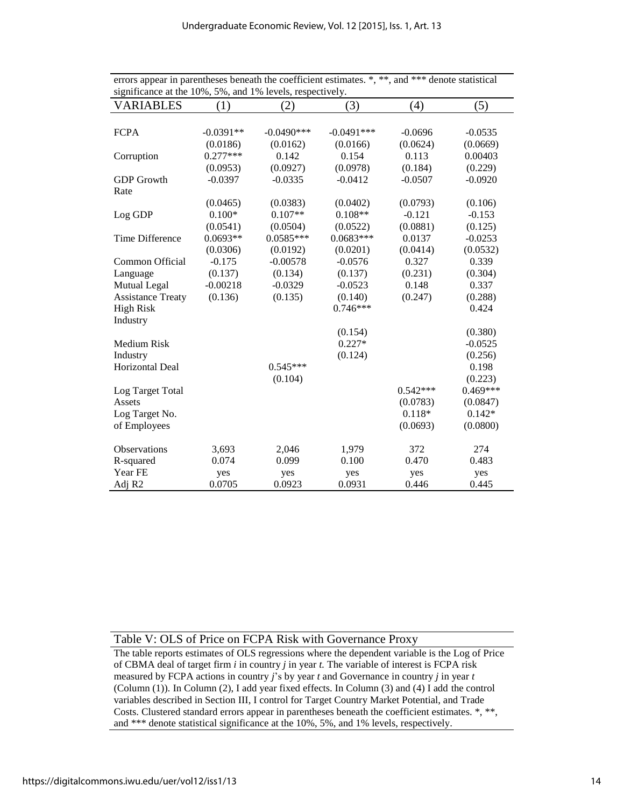| <b>VARIABLES</b>         | (1)         | (2)          | (3)          | (4)        | (5)        |
|--------------------------|-------------|--------------|--------------|------------|------------|
|                          |             |              |              |            |            |
| <b>FCPA</b>              | $-0.0391**$ | $-0.0490***$ | $-0.0491***$ | $-0.0696$  | $-0.0535$  |
|                          | (0.0186)    | (0.0162)     | (0.0166)     | (0.0624)   | (0.0669)   |
| Corruption               | $0.277***$  | 0.142        | 0.154        | 0.113      | 0.00403    |
|                          | (0.0953)    | (0.0927)     | (0.0978)     | (0.184)    | (0.229)    |
| <b>GDP</b> Growth        | $-0.0397$   | $-0.0335$    | $-0.0412$    | $-0.0507$  | $-0.0920$  |
| Rate                     |             |              |              |            |            |
|                          | (0.0465)    | (0.0383)     | (0.0402)     | (0.0793)   | (0.106)    |
| Log GDP                  | $0.100*$    | $0.107**$    | $0.108**$    | $-0.121$   | $-0.153$   |
|                          | (0.0541)    | (0.0504)     | (0.0522)     | (0.0881)   | (0.125)    |
| Time Difference          | $0.0693**$  | $0.0585***$  | $0.0683***$  | 0.0137     | $-0.0253$  |
|                          | (0.0306)    | (0.0192)     | (0.0201)     | (0.0414)   | (0.0532)   |
| Common Official          | $-0.175$    | $-0.00578$   | $-0.0576$    | 0.327      | 0.339      |
| Language                 | (0.137)     | (0.134)      | (0.137)      | (0.231)    | (0.304)    |
| <b>Mutual Legal</b>      | $-0.00218$  | $-0.0329$    | $-0.0523$    | 0.148      | 0.337      |
| <b>Assistance Treaty</b> | (0.136)     | (0.135)      | (0.140)      | (0.247)    | (0.288)    |
| <b>High Risk</b>         |             |              | $0.746***$   |            | 0.424      |
| Industry                 |             |              |              |            |            |
|                          |             |              | (0.154)      |            | (0.380)    |
| Medium Risk              |             |              | $0.227*$     |            | $-0.0525$  |
| Industry                 |             |              | (0.124)      |            | (0.256)    |
| Horizontal Deal          |             | $0.545***$   |              |            | 0.198      |
|                          |             | (0.104)      |              |            | (0.223)    |
| Log Target Total         |             |              |              | $0.542***$ | $0.469***$ |
| Assets                   |             |              |              | (0.0783)   | (0.0847)   |
| Log Target No.           |             |              |              | $0.118*$   | $0.142*$   |
| of Employees             |             |              |              | (0.0693)   | (0.0800)   |
| <b>Observations</b>      | 3,693       | 2,046        | 1,979        | 372        | 274        |
| R-squared                | 0.074       | 0.099        | 0.100        | 0.470      | 0.483      |
| Year FE                  | yes         | yes          | yes          | yes        | yes        |
| Adj R <sub>2</sub>       | 0.0705      | 0.0923       | 0.0931       | 0.446      | 0.445      |

errors appear in parentheses beneath the coefficient estimates. \*, \*\*, and \*\*\* denote statistical significance at the 10%, 5%, and 1% levels, respectively.

Table V: OLS of Price on FCPA Risk with Governance Proxy

The table reports estimates of OLS regressions where the dependent variable is the Log of Price of CBMA deal of target firm *i* in country *j* in year *t.* The variable of interest is FCPA risk measured by FCPA actions in country *j*'s by year *t* and Governance in country *j* in year *t*  (Column (1))*.* In Column (2), I add year fixed effects. In Column (3) and (4) I add the control variables described in Section III, I control for Target Country Market Potential, and Trade Costs. Clustered standard errors appear in parentheses beneath the coefficient estimates. \*, \*\*, and \*\*\* denote statistical significance at the 10%, 5%, and 1% levels, respectively.